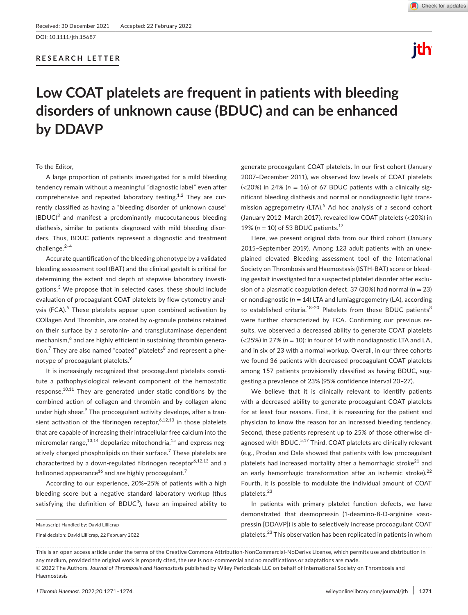DOI: 10.1111/jth.15687

# **RESEARCH LETTER**



ith

# **Low COAT platelets are frequent in patients with bleeding disorders of unknown cause (BDUC) and can be enhanced by DDAVP**

#### To the Editor,

A large proportion of patients investigated for a mild bleeding tendency remain without a meaningful "diagnostic label" even after comprehensive and repeated laboratory testing.<sup>1,2</sup> They are currently classified as having a "bleeding disorder of unknown cause"  $(BDUC)^3$  and manifest a predominantly mucocutaneous bleeding diathesis, similar to patients diagnosed with mild bleeding disorders. Thus, BDUC patients represent a diagnostic and treatment challenge. $2-4$ 

Accurate quantification of the bleeding phenotype by a validated bleeding assessment tool (BAT) and the clinical gestalt is critical for determining the extent and depth of stepwise laboratory investigations.<sup>3</sup> We propose that in selected cases, these should include evaluation of procoagulant COAT platelets by flow cytometry analysis (FCA).<sup>5</sup> These platelets appear upon combined activation by COllagen And Thrombin, are coated by α-granule proteins retained on their surface by a serotonin- and transglutaminase dependent mechanism, $^6$  and are highly efficient in sustaining thrombin generation.<sup>7</sup> They are also named "coated" platelets<sup>8</sup> and represent a phenotype of procoagulant platelets.<sup>9</sup>

It is increasingly recognized that procoagulant platelets constitute a pathophysiological relevant component of the hemostatic response.<sup>10,11</sup> They are generated under static conditions by the combined action of collagen and thrombin and by collagen alone under high shear. $\degree$  The procoagulant activity develops, after a transient activation of the fibrinogen receptor, $6,12,13$  in those platelets that are capable of increasing their intracellular free calcium into the micromolar range, $13,14$  depolarize mitochondria, $15$  and express negatively charged phospholipids on their surface.<sup>7</sup> These platelets are characterized by a down-regulated fibrinogen receptor<sup>6,12,13</sup> and a ballooned appearance<sup>16</sup> and are highly procoagulant.<sup>7</sup>

According to our experience, 20%–25% of patients with a high bleeding score but a negative standard laboratory workup (thus satisfying the definition of BDUC<sup>3</sup>), have an impaired ability to

generate procoagulant COAT platelets. In our first cohort (January 2007–December 2011), we observed low levels of COAT platelets  $(<$ 20%) in 24% ( $n = 16$ ) of 67 BDUC patients with a clinically significant bleeding diathesis and normal or nondiagnostic light transmission aggregometry (LTA).<sup>5</sup> Ad hoc analysis of a second cohort (January 2012–March 2017), revealed low COAT platelets (<20%) in 19% ( $n = 10$ ) of 53 BDUC patients.<sup>17</sup>

Here, we present original data from our third cohort (January 2015–September 2019). Among 123 adult patients with an unexplained elevated Bleeding assessment tool of the International Society on Thrombosis and Haemostasis (ISTH-BAT) score or bleeding gestalt investigated for a suspected platelet disorder after exclusion of a plasmatic coagulation defect,  $37$  ( $30\%$ ) had normal ( $n = 23$ ) or nondiagnostic (*n* = 14) LTA and lumiaggregometry (LA), according to established criteria. $18-20$  Platelets from these BDUC patients<sup>3</sup> were further characterized by FCA. Confirming our previous results, we observed a decreased ability to generate COAT platelets  $(<$ 25%) in 27% ( $n = 10$ ): in four of 14 with nondiagnostic LTA and LA, and in six of 23 with a normal workup. Overall, in our three cohorts we found 36 patients with decreased procoagulant COAT platelets among 157 patients provisionally classified as having BDUC, suggesting a prevalence of 23% (95% confidence interval 20–27).

We believe that it is clinically relevant to identify patients with a decreased ability to generate procoagulant COAT platelets for at least four reasons. First, it is reassuring for the patient and physician to know the reason for an increased bleeding tendency. Second, these patients represent up to 25% of those otherwise diagnosed with BDUC.<sup>5,17</sup> Third, COAT platelets are clinically relevant (e.g., Prodan and Dale showed that patients with low procoagulant platelets had increased mortality after a hemorrhagic stroke $^{21}$  and an early hemorrhagic transformation after an ischemic stroke). $22$ Fourth, it is possible to modulate the individual amount of COAT platelets.<sup>23</sup>

In patients with primary platelet function defects, we have demonstrated that desmopressin (1-deamino-8-D-arginine vasopressin [DDAVP]) is able to selectively increase procoagulant COAT platelets.<sup>23</sup> This observation has been replicated in patients in whom

Manuscript Handled by: David Lillicrap

Final decision: David Lillicrap, 22 February 2022

This is an open access article under the terms of the [Creative Commons Attribution-NonCommercial-NoDerivs](http://creativecommons.org/licenses/by-nc-nd/4.0/) License, which permits use and distribution in any medium, provided the original work is properly cited, the use is non-commercial and no modifications or adaptations are made. © 2022 The Authors. *Journal of Thrombosis and Haemostasis* published by Wiley Periodicals LLC on behalf of International Society on Thrombosis and Haemostasis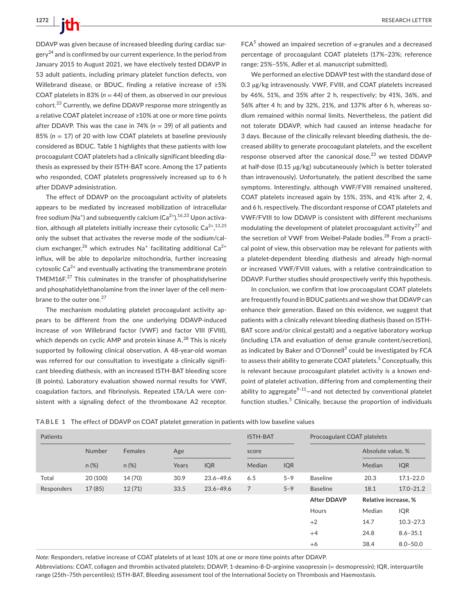DDAVP was given because of increased bleeding during cardiac surgery<sup>24</sup> and is confirmed by our current experience. In the period from January 2015 to August 2021, we have electively tested DDAVP in 53 adult patients, including primary platelet function defects, von Willebrand disease, or BDUC, finding a relative increase of ≥5% COAT platelets in 83% ( $n = 44$ ) of them, as observed in our previous cohort.<sup>23</sup> Currently, we define DDAVP response more stringently as a relative COAT platelet increase of ≥10% at one or more time points after DDAVP. This was the case in 74% (*n* = 39) of all patients and 85% (*n* = 17) of 20 with low COAT platelets at baseline previously considered as BDUC. Table 1 highlights that these patients with low procoagulant COAT platelets had a clinically significant bleeding diathesis as expressed by their ISTH-BAT score. Among the 17 patients who responded, COAT platelets progressively increased up to 6 h after DDAVP administration.

The effect of DDAVP on the procoagulant activity of platelets appears to be mediated by increased mobilization of intracellular free sodium (Na<sup>+</sup>) and subsequently calcium (Ca<sup>2+</sup>).<sup>16,23</sup> Upon activation, although all platelets initially increase their cytosolic Ca $^{2+},^{13,25}$ only the subset that activates the reverse mode of the sodium/calcium exchanger,<sup>26</sup> which extrudes Na<sup>+</sup> facilitating additional Ca<sup>2+</sup> influx, will be able to depolarize mitochondria, further increasing cytosolic  $Ca^{2+}$  and eventually activating the transmembrane protein TMEM16F<sup>27</sup> This culminates in the transfer of phosphatidylserine and phosphatidylethanolamine from the inner layer of the cell membrane to the outer one.<sup>27</sup>

The mechanism modulating platelet procoagulant activity appears to be different from the one underlying DDAVP-induced increase of von Willebrand factor (VWF) and factor VIII (FVIII), which depends on cyclic AMP and protein kinase  $A<sup>28</sup>$  This is nicely supported by following clinical observation. A 48-year-old woman was referred for our consultation to investigate a clinically significant bleeding diathesis, with an increased ISTH-BAT bleeding score (8 points). Laboratory evaluation showed normal results for VWF, coagulation factors, and fibrinolysis. Repeated LTA/LA were consistent with a signaling defect of the thromboxane A2 receptor.

FCA<sup>5</sup> showed an impaired secretion of  $\alpha$ -granules and a decreased percentage of procoagulant COAT platelets (17%–23%; reference range: 25%–55%, Adler et al. manuscript submitted).

We performed an elective DDAVP test with the standard dose of 0.3 µg/kg intravenously. VWF, FVIII, and COAT platelets increased by 46%, 51%, and 35% after 2 h, respectively; by 41%, 36%, and 56% after 4 h; and by 32%, 21%, and 137% after 6 h, whereas sodium remained within normal limits. Nevertheless, the patient did not tolerate DDAVP, which had caused an intense headache for 3 days. Because of the clinically relevant bleeding diathesis, the decreased ability to generate procoagulant platelets, and the excellent response observed after the canonical dose, $^{23}$  we tested DDAVP at half-dose (0.15 µg/kg) subcutaneously (which is better tolerated than intravenously). Unfortunately, the patient described the same symptoms. Interestingly, although VWF/FVIII remained unaltered, COAT platelets increased again by 15%, 35%, and 41% after 2, 4, and 6 h, respectively. The discordant response of COAT platelets and VWF/FVIII to low DDAVP is consistent with different mechanisms modulating the development of platelet procoagulant activity<sup>27</sup> and the secretion of VWF from Weibel-Palade bodies.<sup>28</sup> From a practical point of view, this observation may be relevant for patients with a platelet-dependent bleeding diathesis and already high-normal or increased VWF/FVIII values, with a relative contraindication to DDAVP. Further studies should prospectively verify this hypothesis.

In conclusion, we confirm that low procoagulant COAT platelets are frequently found in BDUC patients and we show that DDAVP can enhance their generation. Based on this evidence, we suggest that patients with a clinically relevant bleeding diathesis (based on ISTH-BAT score and/or clinical gestalt) and a negative laboratory workup (including LTA and evaluation of dense granule content/secretion), as indicated by Baker and O'Donnell<sup>3</sup> could be investigated by FCA to assess their ability to generate COAT platelets.<sup>5</sup> Conceptually, this is relevant because procoagulant platelet activity is a known endpoint of platelet activation, differing from and complementing their ability to aggregate<sup>9-11</sup>-and not detected by conventional platelet function studies.<sup>5</sup> Clinically, because the proportion of individuals

|  |  |  |  |  |  |  |  | TABLE 1 The effect of DDAVP on COAT platelet generation in patients with low baseline values |  |  |  |  |  |
|--|--|--|--|--|--|--|--|----------------------------------------------------------------------------------------------|--|--|--|--|--|
|--|--|--|--|--|--|--|--|----------------------------------------------------------------------------------------------|--|--|--|--|--|

| Patients   |          |          | <b>ISTH-BAT</b> |               | Procoagulant COAT platelets |            |                    |                      |               |
|------------|----------|----------|-----------------|---------------|-----------------------------|------------|--------------------|----------------------|---------------|
|            | Number   | Females  | Age             |               | score                       |            |                    | Absolute value, %    |               |
|            | $n (\%)$ | $n (\%)$ | Years           | <b>IQR</b>    | Median                      | <b>IQR</b> |                    | Median               | <b>IQR</b>    |
| Total      | 20 (100) | 14 (70)  | 30.9            | $23.6 - 49.6$ | 6.5                         | $5 - 9$    | <b>Baseline</b>    | 20.3                 | $17.1 - 22.0$ |
| Responders | 17(85)   | 12(71)   | 33.5            | $23.6 - 49.6$ | 7                           | $5 - 9$    | <b>Baseline</b>    | 18.1                 | $17.0 - 21.2$ |
|            |          |          |                 |               |                             |            | <b>After DDAVP</b> | Relative increase, % |               |
|            |          |          |                 |               |                             |            | Hours              | Median               | <b>IQR</b>    |
|            |          |          |                 |               |                             |            | $+2$               | 14.7                 | $10.3 - 27.3$ |
|            |          |          |                 |               |                             |            | $+4$               | 24.8                 | $8.6 - 35.1$  |
|            |          |          |                 |               |                             |            | $+6$               | 38.4                 | $8.0 - 50.0$  |

*Note:* Responders, relative increase of COAT platelets of at least 10% at one or more time points after DDAVP.

Abbreviations: COAT, collagen and thrombin activated platelets; DDAVP, 1-deamino-8-D-arginine vasopressin (= desmopressin); IQR, interquartile range (25th–75th percentiles); ISTH-BAT, Bleeding assessment tool of the International Society on Thrombosis and Haemostasis.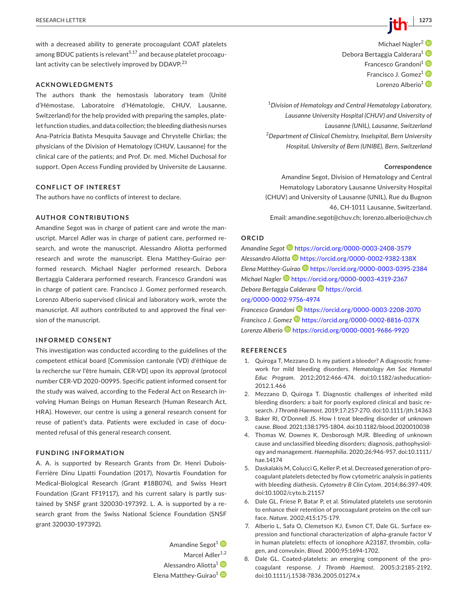with a decreased ability to generate procoagulant COAT platelets among BDUC patients is relevant<sup>5,17</sup> and because platelet procoagulant activity can be selectively improved by  $DDAVP<sup>23</sup>$ 

#### **ACKNOWLEDGMENTS**

The authors thank the hemostasis laboratory team (Unité d'Hémostase, Laboratoire d'Hématologie, CHUV, Lausanne, Switzerland) for the help provided with preparing the samples, platelet function studies, and data collection; the bleeding diathesis nurses Ana-Patricia Batista Mesquita Sauvage and Chrystelle Chirlias; the physicians of the Division of Hematology (CHUV, Lausanne) for the clinical care of the patients; and Prof. Dr. med. Michel Duchosal for support. Open Access Funding provided by Universite de Lausanne.

## **CONFLICT OF INTEREST**

The authors have no conflicts of interest to declare.

#### **AUTHOR CONTRIBUTIONS**

Amandine Segot was in charge of patient care and wrote the manuscript. Marcel Adler was in charge of patient care, performed research, and wrote the manuscript. Alessandro Aliotta performed research and wrote the manuscript. Elena Matthey-Guirao performed research. Michael Nagler performed research. Debora Bertaggia Calderara performed research. Francesco Grandoni was in charge of patient care. Francisco J. Gomez performed research. Lorenzo Alberio supervised clinical and laboratory work, wrote the manuscript. All authors contributed to and approved the final version of the manuscript.

#### **INFORMED CONSENT**

This investigation was conducted according to the guidelines of the competent ethical board [Commission cantonale (VD) d'éthique de la recherche sur l'être humain, CER-VD] upon its approval (protocol number CER-VD 2020-00995. Specific patient informed consent for the study was waived, according to the Federal Act on Research involving Human Beings on Human Research (Human Research Act, HRA). However, our centre is using a general research consent for reuse of patient's data. Patients were excluded in case of documented refusal of this general research consent.

## **FUNDING INFORMATION**

A. A. is supported by Research Grants from Dr. Henri Dubois-Ferrière Dinu Lipatti Foundation (2017), Novartis Foundation for Medical-Biological Research (Grant #18B074), and Swiss Heart Foundation (Grant FF19117), and his current salary is partly sustained by SNSF grant 320030-197392. L. A. is supported by a research grant from the Swiss National Science Foundation (SNSF grant 320030-197392).

> Amandine Segot<sup>1</sup> Marcel Adler $^{1,2}$ Alessandro Aliotta<sup>1</sup> Elena Matthey-Guirao<sup>1</sup>



Michael Nagler<sup>[2](https://orcid.org/0000-0003-4319-2367)</sup> Debora Bertaggia Calderara<sup>[1](https://orcid.org/0000-0002-9756-4974)</sup> Francesco Grandoni<sup>[1](https://orcid.org/0000-0003-2208-2070)</sup> Francisco J. Gomez<sup>[1](https://orcid.org/0000-0002-8816-037X)</sup> D Lorenzo Alberio<sup>[1](https://orcid.org/0000-0001-9686-9920)</sup>

1 *Division of Hematology and Central Hematology Laboratory, Lausanne University Hospital (CHUV) and University of Lausanne (UNIL), Lausanne, Switzerland* 2 *Department of Clinical Chemistry, Inselspital, Bern University Hospital, University of Bern (UNIBE), Bern, Switzerland*

#### **Correspondence**

Amandine Segot, Division of Hematology and Central Hematology Laboratory Lausanne University Hospital (CHUV) and University of Lausanne (UNIL), Rue du Bugnon 46, CH-1011 Lausanne, Switzerland. Email: [amandine.segot@chuv.ch;](mailto:amandine.segot@chuv.ch) [lorenzo.alberio@chuv.ch](mailto:lorenzo.alberio@chuv.ch)

## **ORCID**

*Amandine Sego[t](https://orcid.org/0000-0003-2408-3579)* <https://orcid.org/0000-0003-2408-3579> *Alessandro Aliott[a](https://orcid.org/0000-0002-9382-138X)* <https://orcid.org/0000-0002-9382-138X> *Elena Matthey-Guira[o](https://orcid.org/0000-0003-0395-2384)* <https://orcid.org/0000-0003-0395-2384> *Michael Nagler* <https://orcid.org/0000-0003-4319-2367> *Debora Bertaggia Calderara* **D** [https://orcid.](https://orcid.org/0000-0002-9756-4974) [org/0000-0002-9756-4974](https://orcid.org/0000-0002-9756-4974)

*Francesco Grandoni* <https://orcid.org/0000-0003-2208-2070> *Francisco J. Gomez* <https://orcid.org/0000-0002-8816-037X> *Lorenzo Alberio* <https://orcid.org/0000-0001-9686-9920>

#### **REFERENCES**

- 1. Quiroga T, Mezzano D. Is my patient a bleeder? A diagnostic framework for mild bleeding disorders. *Hematology Am Soc Hematol Educ Program*. 2012;2012:466-474. doi[:10.1182/asheducation-](https://doi.org/10.1182/asheducation-2012.1.466)[2012.1.466](https://doi.org/10.1182/asheducation-2012.1.466)
- 2. Mezzano D, Quiroga T. Diagnostic challenges of inherited mild bleeding disorders: a bait for poorly explored clinical and basic research. *J Thromb Haemost*. 2019;17:257-270. doi[:10.1111/jth.14363](https://doi.org/10.1111/jth.14363)
- 3. Baker RI, O'Donnell JS. How I treat bleeding disorder of unknown cause. *Blood*. 2021;138:1795-1804. doi:[10.1182/blood.2020010038](https://doi.org/10.1182/blood.2020010038)
- 4. Thomas W, Downes K, Desborough MJR. Bleeding of unknown cause and unclassified bleeding disorders; diagnosis, pathophysiology and management. *Haemophilia*. 2020;26:946-957. doi[:10.1111/](https://doi.org/10.1111/hae.14174) [hae.14174](https://doi.org/10.1111/hae.14174)
- 5. Daskalakis M, Colucci G, Keller P, et al. Decreased generation of procoagulant platelets detected by flow cytometric analysis in patients with bleeding diathesis. *Cytometry B Clin Cytom*. 2014;86:397-409. doi[:10.1002/cyto.b.21157](https://doi.org/10.1002/cyto.b.21157)
- 6. Dale GL, Friese P, Batar P, et al. Stimulated platelets use serotonin to enhance their retention of procoagulant proteins on the cell surface. *Nature*. 2002;415:175-179.
- 7. Alberio L, Safa O, Clemetson KJ, Esmon CT, Dale GL. Surface expression and functional characterization of alpha-granule factor V in human platelets: effects of ionophore A23187, thrombin, collagen, and convulxin. *Blood*. 2000;95:1694-1702.
- 8. Dale GL. Coated-platelets: an emerging component of the procoagulant response. *J Thromb Haemost*. 2005;3:2185-2192. doi[:10.1111/j.1538-7836.2005.01274.x](https://doi.org/10.1111/j.1538-7836.2005.01274.x)